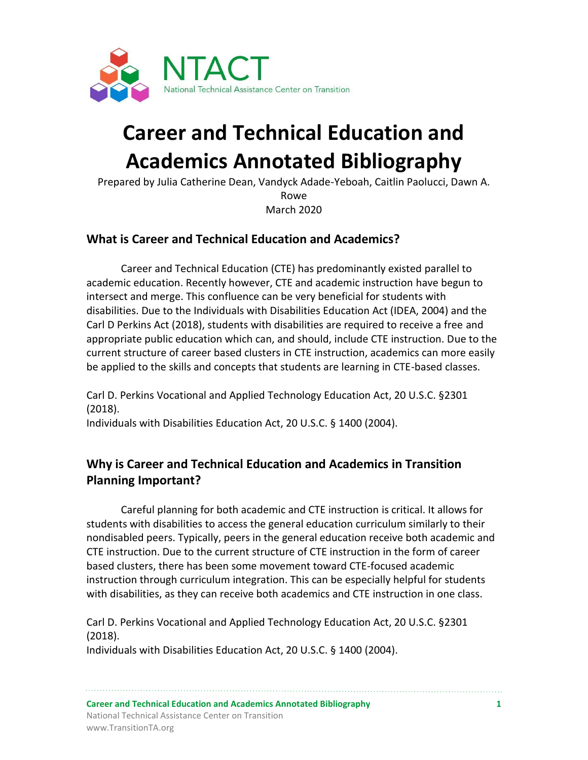

# **Career and Technical Education and Academics Annotated Bibliography**

Prepared by Julia Catherine Dean, Vandyck Adade-Yeboah, Caitlin Paolucci, Dawn A. Rowe March 2020

# **What is Career and Technical Education and Academics?**

Career and Technical Education (CTE) has predominantly existed parallel to academic education. Recently however, CTE and academic instruction have begun to intersect and merge. This confluence can be very beneficial for students with disabilities. Due to the Individuals with Disabilities Education Act (IDEA, 2004) and the Carl D Perkins Act (2018), students with disabilities are required to receive a free and appropriate public education which can, and should, include CTE instruction. Due to the current structure of career based clusters in CTE instruction, academics can more easily be applied to the skills and concepts that students are learning in CTE-based classes.

Carl D. Perkins Vocational and Applied Technology Education Act, 20 U.S.C. §2301 (2018).

Individuals with Disabilities Education Act, 20 U.S.C. § 1400 (2004).

# **Why is Career and Technical Education and Academics in Transition Planning Important?**

Careful planning for both academic and CTE instruction is critical. It allows for students with disabilities to access the general education curriculum similarly to their nondisabled peers. Typically, peers in the general education receive both academic and CTE instruction. Due to the current structure of CTE instruction in the form of career based clusters, there has been some movement toward CTE-focused academic instruction through curriculum integration. This can be especially helpful for students with disabilities, as they can receive both academics and CTE instruction in one class.

Carl D. Perkins Vocational and Applied Technology Education Act, 20 U.S.C. §2301 (2018).

Individuals with Disabilities Education Act, 20 U.S.C. § 1400 (2004).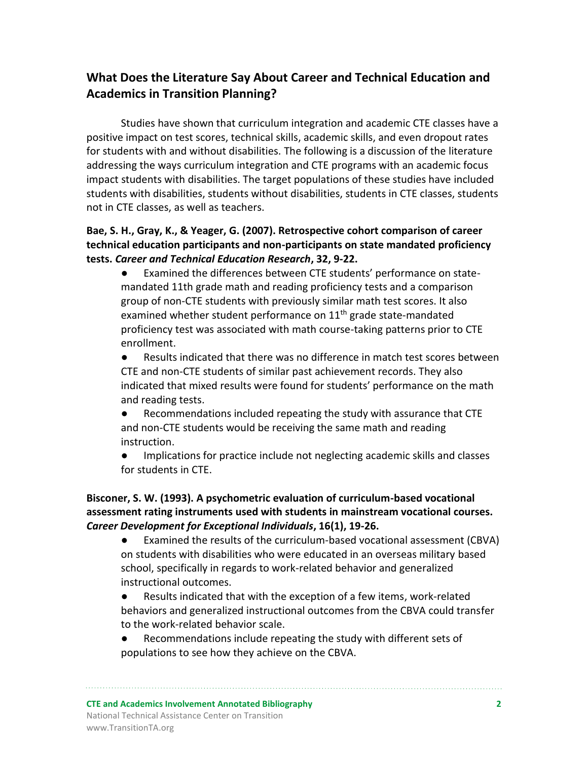# **What Does the Literature Say About Career and Technical Education and Academics in Transition Planning?**

Studies have shown that curriculum integration and academic CTE classes have a positive impact on test scores, technical skills, academic skills, and even dropout rates for students with and without disabilities. The following is a discussion of the literature addressing the ways curriculum integration and CTE programs with an academic focus impact students with disabilities. The target populations of these studies have included students with disabilities, students without disabilities, students in CTE classes, students not in CTE classes, as well as teachers.

# **Bae, S. H., Gray, K., & Yeager, G. (2007). Retrospective cohort comparison of career technical education participants and non-participants on state mandated proficiency tests.** *Career and Technical Education Research***, 32, 9-22.**

- Examined the differences between CTE students' performance on statemandated 11th grade math and reading proficiency tests and a comparison group of non-CTE students with previously similar math test scores. It also examined whether student performance on 11<sup>th</sup> grade state-mandated proficiency test was associated with math course-taking patterns prior to CTE enrollment.
- Results indicated that there was no difference in match test scores between CTE and non-CTE students of similar past achievement records. They also indicated that mixed results were found for students' performance on the math and reading tests.
- Recommendations included repeating the study with assurance that CTE and non-CTE students would be receiving the same math and reading instruction.
- Implications for practice include not neglecting academic skills and classes for students in CTE.

#### **Bisconer, S. W. (1993). A psychometric evaluation of curriculum-based vocational assessment rating instruments used with students in mainstream vocational courses.**  *Career Development for Exceptional Individuals***, 16(1), 19-26.**

- Examined the results of the curriculum-based vocational assessment (CBVA) on students with disabilities who were educated in an overseas military based school, specifically in regards to work-related behavior and generalized instructional outcomes.
- Results indicated that with the exception of a few items, work-related behaviors and generalized instructional outcomes from the CBVA could transfer to the work-related behavior scale.
- Recommendations include repeating the study with different sets of populations to see how they achieve on the CBVA.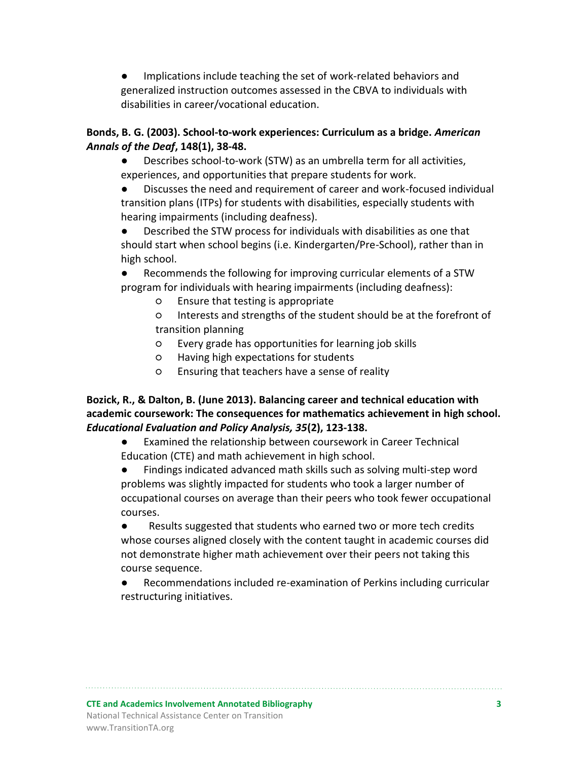Implications include teaching the set of work-related behaviors and generalized instruction outcomes assessed in the CBVA to individuals with disabilities in career/vocational education.

## **Bonds, B. G. (2003). School-to-work experiences: Curriculum as a bridge.** *American Annals of the Deaf***, 148(1), 38-48.**

Describes school-to-work (STW) as an umbrella term for all activities, experiences, and opportunities that prepare students for work.

● Discusses the need and requirement of career and work-focused individual transition plans (ITPs) for students with disabilities, especially students with hearing impairments (including deafness).

● Described the STW process for individuals with disabilities as one that should start when school begins (i.e. Kindergarten/Pre-School), rather than in high school.

● Recommends the following for improving curricular elements of a STW program for individuals with hearing impairments (including deafness):

○ Ensure that testing is appropriate

○ Interests and strengths of the student should be at the forefront of transition planning

- Every grade has opportunities for learning job skills
- Having high expectations for students
- Ensuring that teachers have a sense of reality

## **Bozick, R., & Dalton, B. (June 2013). Balancing career and technical education with academic coursework: The consequences for mathematics achievement in high school.**  *Educational Evaluation and Policy Analysis, 35***(2), 123-138.**

● Examined the relationship between coursework in Career Technical Education (CTE) and math achievement in high school.

● Findings indicated advanced math skills such as solving multi-step word problems was slightly impacted for students who took a larger number of occupational courses on average than their peers who took fewer occupational courses.

● Results suggested that students who earned two or more tech credits whose courses aligned closely with the content taught in academic courses did not demonstrate higher math achievement over their peers not taking this course sequence.

Recommendations included re-examination of Perkins including curricular restructuring initiatives.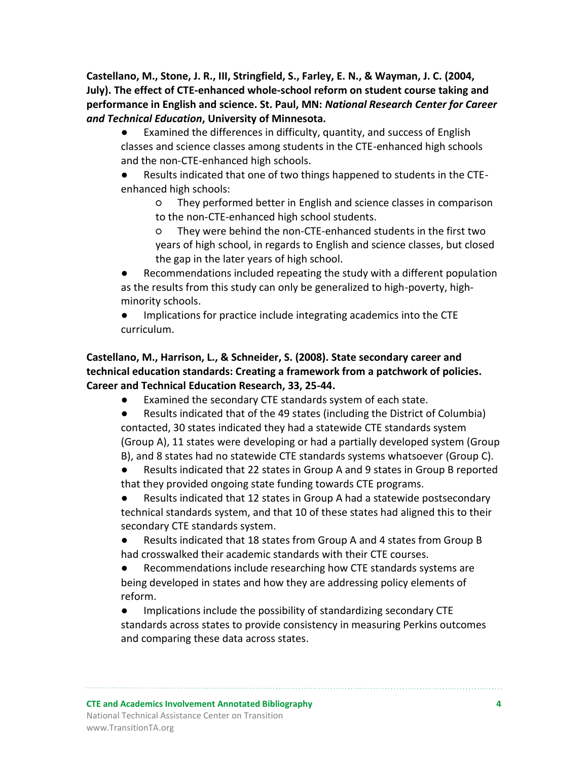**Castellano, M., Stone, J. R., III, Stringfield, S., Farley, E. N., & Wayman, J. C. (2004, July). The effect of CTE-enhanced whole-school reform on student course taking and performance in English and science. St. Paul, MN:** *National Research Center for Career and Technical Education***, University of Minnesota.**

- Examined the differences in difficulty, quantity, and success of English classes and science classes among students in the CTE-enhanced high schools and the non-CTE-enhanced high schools.
- Results indicated that one of two things happened to students in the CTEenhanced high schools:
	- They performed better in English and science classes in comparison to the non-CTE-enhanced high school students.
	- They were behind the non-CTE-enhanced students in the first two years of high school, in regards to English and science classes, but closed the gap in the later years of high school.
- Recommendations included repeating the study with a different population as the results from this study can only be generalized to high-poverty, highminority schools.
- Implications for practice include integrating academics into the CTE curriculum.

# **Castellano, M., Harrison, L., & Schneider, S. (2008). State secondary career and technical education standards: Creating a framework from a patchwork of policies. Career and Technical Education Research, 33, 25-44.**

- Examined the secondary CTE standards system of each state.
- Results indicated that of the 49 states (including the District of Columbia) contacted, 30 states indicated they had a statewide CTE standards system (Group A), 11 states were developing or had a partially developed system (Group B), and 8 states had no statewide CTE standards systems whatsoever (Group C).
- Results indicated that 22 states in Group A and 9 states in Group B reported that they provided ongoing state funding towards CTE programs.
- Results indicated that 12 states in Group A had a statewide postsecondary technical standards system, and that 10 of these states had aligned this to their secondary CTE standards system.
- Results indicated that 18 states from Group A and 4 states from Group B had crosswalked their academic standards with their CTE courses.
- Recommendations include researching how CTE standards systems are being developed in states and how they are addressing policy elements of reform.
- Implications include the possibility of standardizing secondary CTE standards across states to provide consistency in measuring Perkins outcomes and comparing these data across states.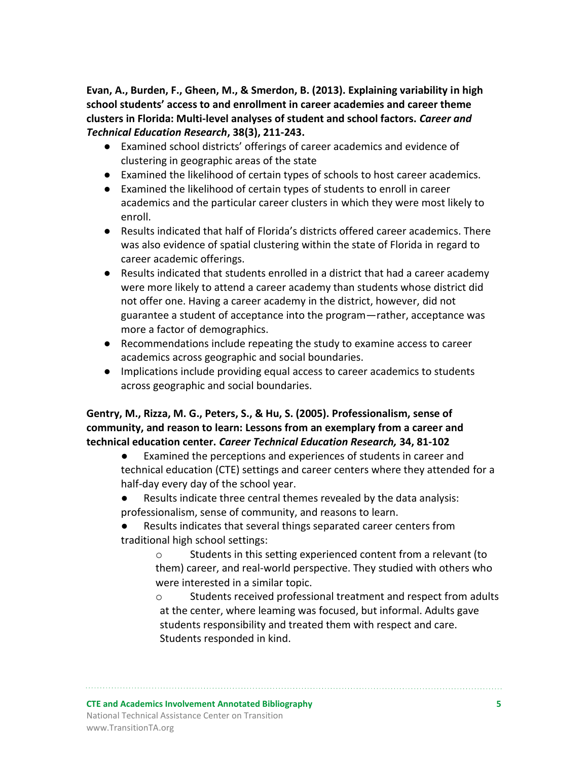**Evan, A., Burden, F., Gheen, M., & Smerdon, B. (2013). Explaining variability in high school students' access to and enrollment in career academies and career theme clusters in Florida: Multi-level analyses of student and school factors.** *Career and Technical Education Research***, 38(3), 211-243.**

- Examined school districts' offerings of career academics and evidence of clustering in geographic areas of the state
- Examined the likelihood of certain types of schools to host career academics.
- Examined the likelihood of certain types of students to enroll in career academics and the particular career clusters in which they were most likely to enroll.
- Results indicated that half of Florida's districts offered career academics. There was also evidence of spatial clustering within the state of Florida in regard to career academic offerings.
- Results indicated that students enrolled in a district that had a career academy were more likely to attend a career academy than students whose district did not offer one. Having a career academy in the district, however, did not guarantee a student of acceptance into the program—rather, acceptance was more a factor of demographics.
- Recommendations include repeating the study to examine access to career academics across geographic and social boundaries.
- Implications include providing equal access to career academics to students across geographic and social boundaries.

# **Gentry, M., Rizza, M. G., Peters, S., & Hu, S. (2005). Professionalism, sense of community, and reason to learn: Lessons from an exemplary from a career and technical education center.** *Career Technical Education Research,* **34, 81-102**

Examined the perceptions and experiences of students in career and technical education (CTE) settings and career centers where they attended for a half-day every day of the school year.

- Results indicate three central themes revealed by the data analysis: professionalism, sense of community, and reasons to learn.
- Results indicates that several things separated career centers from traditional high school settings:
	- o Students in this setting experienced content from a relevant (to them) career, and real-world perspective. They studied with others who were interested in a similar topic.
	- o Students received professional treatment and respect from adults at the center, where leaming was focused, but informal. Adults gave students responsibility and treated them with respect and care. Students responded in kind.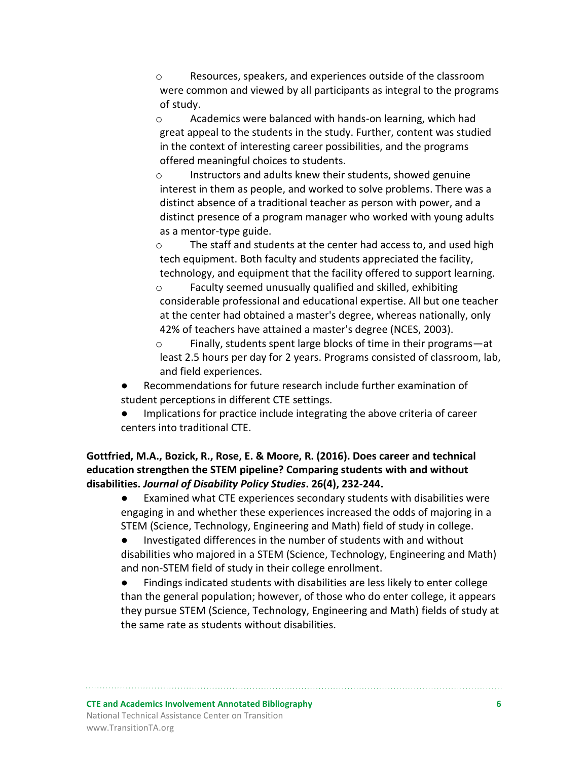o Resources, speakers, and experiences outside of the classroom were common and viewed by all participants as integral to the programs of study.

o Academics were balanced with hands-on learning, which had great appeal to the students in the study. Further, content was studied in the context of interesting career possibilities, and the programs offered meaningful choices to students.

o Instructors and adults knew their students, showed genuine interest in them as people, and worked to solve problems. There was a distinct absence of a traditional teacher as person with power, and a distinct presence of a program manager who worked with young adults as a mentor-type guide.

o The staff and students at the center had access to, and used high tech equipment. Both faculty and students appreciated the facility, technology, and equipment that the facility offered to support learning.

o Faculty seemed unusually qualified and skilled, exhibiting considerable professional and educational expertise. All but one teacher at the center had obtained a master's degree, whereas nationally, only 42% of teachers have attained a master's degree (NCES, 2003).

o Finally, students spent large blocks of time in their programs—at least 2.5 hours per day for 2 years. Programs consisted of classroom, lab, and field experiences.

Recommendations for future research include further examination of student perceptions in different CTE settings.

● Implications for practice include integrating the above criteria of career centers into traditional CTE.

**Gottfried, M.A., Bozick, R., Rose, E. & Moore, R. (2016). Does career and technical education strengthen the STEM pipeline? Comparing students with and without disabilities.** *Journal of Disability Policy Studies***. 26(4), 232-244.**

● Examined what CTE experiences secondary students with disabilities were engaging in and whether these experiences increased the odds of majoring in a STEM (Science, Technology, Engineering and Math) field of study in college.

● Investigated differences in the number of students with and without disabilities who majored in a STEM (Science, Technology, Engineering and Math) and non-STEM field of study in their college enrollment.

● Findings indicated students with disabilities are less likely to enter college than the general population; however, of those who do enter college, it appears they pursue STEM (Science, Technology, Engineering and Math) fields of study at the same rate as students without disabilities.

**CTE and Academics Involvement Annotated Bibliography 6** National Technical Assistance Center on Transition www.TransitionTA.org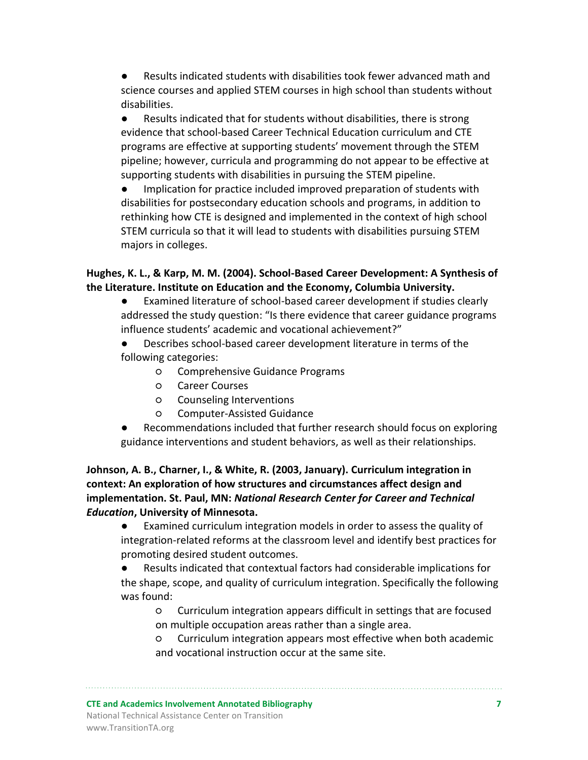Results indicated students with disabilities took fewer advanced math and science courses and applied STEM courses in high school than students without disabilities.

● Results indicated that for students without disabilities, there is strong evidence that school-based Career Technical Education curriculum and CTE programs are effective at supporting students' movement through the STEM pipeline; however, curricula and programming do not appear to be effective at supporting students with disabilities in pursuing the STEM pipeline.

● Implication for practice included improved preparation of students with disabilities for postsecondary education schools and programs, in addition to rethinking how CTE is designed and implemented in the context of high school STEM curricula so that it will lead to students with disabilities pursuing STEM majors in colleges.

# **Hughes, K. L., & Karp, M. M. (2004). School-Based Career Development: A Synthesis of the Literature. Institute on Education and the Economy, Columbia University.**

- Examined literature of school-based career development if studies clearly addressed the study question: "Is there evidence that career guidance programs influence students' academic and vocational achievement?"
- Describes school-based career development literature in terms of the following categories:
	- Comprehensive Guidance Programs
	- Career Courses
	- Counseling Interventions
	- Computer-Assisted Guidance
- Recommendations included that further research should focus on exploring guidance interventions and student behaviors, as well as their relationships.

# **Johnson, A. B., Charner, I., & White, R. (2003, January). Curriculum integration in context: An exploration of how structures and circumstances affect design and implementation. St. Paul, MN:** *National Research Center for Career and Technical Education***, University of Minnesota.**

● Examined curriculum integration models in order to assess the quality of integration-related reforms at the classroom level and identify best practices for promoting desired student outcomes.

Results indicated that contextual factors had considerable implications for the shape, scope, and quality of curriculum integration. Specifically the following was found:

○ Curriculum integration appears difficult in settings that are focused on multiple occupation areas rather than a single area.

○ Curriculum integration appears most effective when both academic and vocational instruction occur at the same site.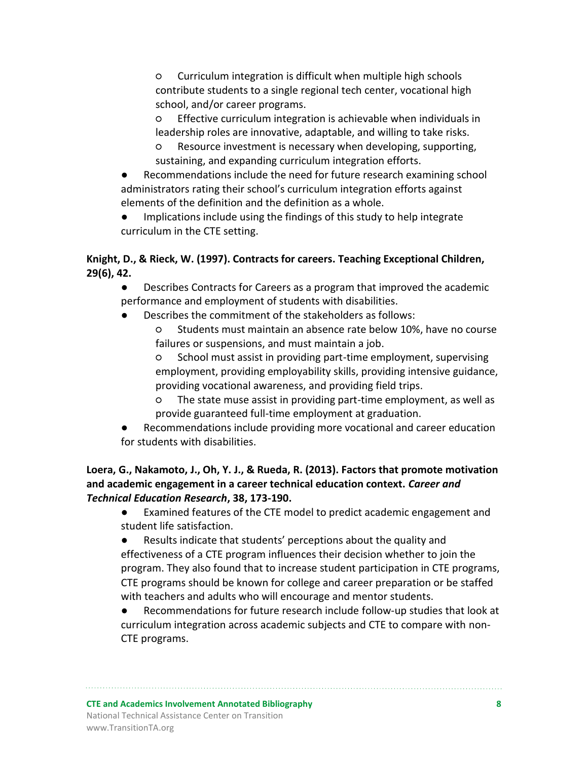○ Curriculum integration is difficult when multiple high schools contribute students to a single regional tech center, vocational high school, and/or career programs.

Effective curriculum integration is achievable when individuals in leadership roles are innovative, adaptable, and willing to take risks.

- Resource investment is necessary when developing, supporting, sustaining, and expanding curriculum integration efforts.
- Recommendations include the need for future research examining school administrators rating their school's curriculum integration efforts against elements of the definition and the definition as a whole.
- Implications include using the findings of this study to help integrate curriculum in the CTE setting.

# **Knight, D., & Rieck, W. (1997). Contracts for careers. Teaching Exceptional Children, 29(6), 42.**

- Describes Contracts for Careers as a program that improved the academic performance and employment of students with disabilities.
- Describes the commitment of the stakeholders as follows:

○ Students must maintain an absence rate below 10%, have no course failures or suspensions, and must maintain a job.

○ School must assist in providing part-time employment, supervising employment, providing employability skills, providing intensive guidance, providing vocational awareness, and providing field trips.

- The state muse assist in providing part-time employment, as well as provide guaranteed full-time employment at graduation.
- Recommendations include providing more vocational and career education for students with disabilities.

# **Loera, G., Nakamoto, J., Oh, Y. J., & Rueda, R. (2013). Factors that promote motivation and academic engagement in a career technical education context.** *Career and Technical Education Research***, 38, 173-190.**

- Examined features of the CTE model to predict academic engagement and student life satisfaction.
- Results indicate that students' perceptions about the quality and effectiveness of a CTE program influences their decision whether to join the program. They also found that to increase student participation in CTE programs, CTE programs should be known for college and career preparation or be staffed with teachers and adults who will encourage and mentor students.
- Recommendations for future research include follow-up studies that look at curriculum integration across academic subjects and CTE to compare with non-CTE programs.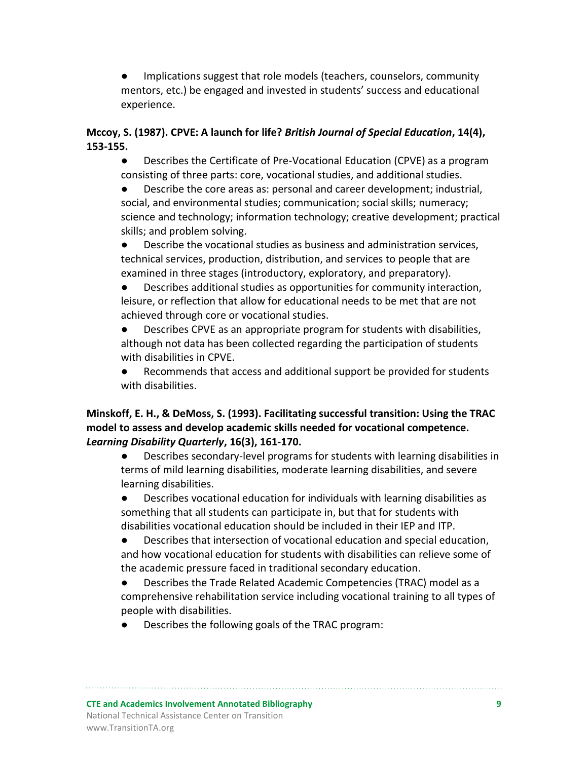Implications suggest that role models (teachers, counselors, community mentors, etc.) be engaged and invested in students' success and educational experience.

# **Mccoy, S. (1987). CPVE: A launch for life?** *British Journal of Special Education***, 14(4), 153-155.**

● Describes the Certificate of Pre-Vocational Education (CPVE) as a program consisting of three parts: core, vocational studies, and additional studies.

● Describe the core areas as: personal and career development; industrial, social, and environmental studies; communication; social skills; numeracy; science and technology; information technology; creative development; practical skills; and problem solving.

Describe the vocational studies as business and administration services, technical services, production, distribution, and services to people that are examined in three stages (introductory, exploratory, and preparatory).

● Describes additional studies as opportunities for community interaction, leisure, or reflection that allow for educational needs to be met that are not achieved through core or vocational studies.

● Describes CPVE as an appropriate program for students with disabilities, although not data has been collected regarding the participation of students with disabilities in CPVE.

● Recommends that access and additional support be provided for students with disabilities.

## **Minskoff, E. H., & DeMoss, S. (1993). Facilitating successful transition: Using the TRAC model to assess and develop academic skills needed for vocational competence.**  *Learning Disability Quarterly***, 16(3), 161-170.**

● Describes secondary-level programs for students with learning disabilities in terms of mild learning disabilities, moderate learning disabilities, and severe learning disabilities.

● Describes vocational education for individuals with learning disabilities as something that all students can participate in, but that for students with disabilities vocational education should be included in their IEP and ITP.

● Describes that intersection of vocational education and special education, and how vocational education for students with disabilities can relieve some of the academic pressure faced in traditional secondary education.

● Describes the Trade Related Academic Competencies (TRAC) model as a comprehensive rehabilitation service including vocational training to all types of people with disabilities.

Describes the following goals of the TRAC program: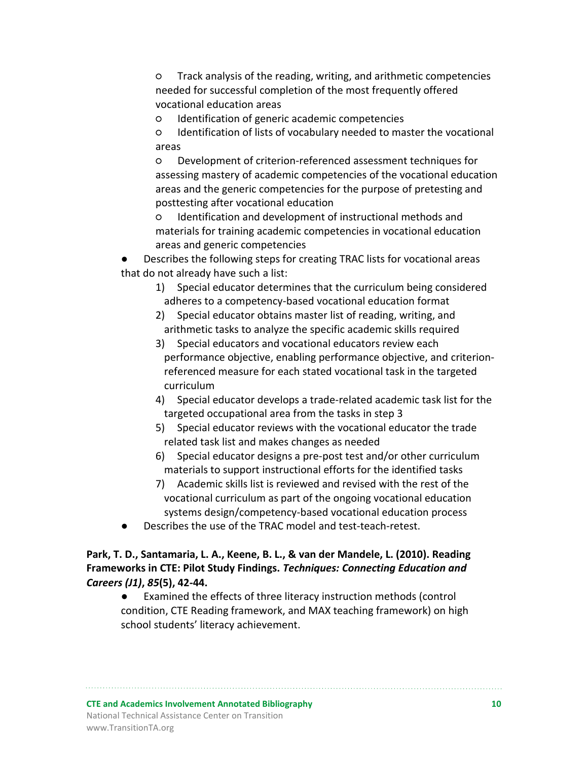○ Track analysis of the reading, writing, and arithmetic competencies needed for successful completion of the most frequently offered vocational education areas

○ Identification of generic academic competencies

○ Identification of lists of vocabulary needed to master the vocational areas

○ Development of criterion-referenced assessment techniques for assessing mastery of academic competencies of the vocational education areas and the generic competencies for the purpose of pretesting and posttesting after vocational education

○ Identification and development of instructional methods and materials for training academic competencies in vocational education areas and generic competencies

Describes the following steps for creating TRAC lists for vocational areas that do not already have such a list:

- 1) Special educator determines that the curriculum being considered adheres to a competency-based vocational education format
- 2) Special educator obtains master list of reading, writing, and arithmetic tasks to analyze the specific academic skills required
- 3) Special educators and vocational educators review each performance objective, enabling performance objective, and criterionreferenced measure for each stated vocational task in the targeted curriculum
- 4) Special educator develops a trade-related academic task list for the targeted occupational area from the tasks in step 3
- 5) Special educator reviews with the vocational educator the trade related task list and makes changes as needed
- 6) Special educator designs a pre-post test and/or other curriculum materials to support instructional efforts for the identified tasks
- 7) Academic skills list is reviewed and revised with the rest of the vocational curriculum as part of the ongoing vocational education systems design/competency-based vocational education process
- Describes the use of the TRAC model and test-teach-retest.

#### **Park, T. D., Santamaria, L. A., Keene, B. L., & van der Mandele, L. (2010). Reading Frameworks in CTE: Pilot Study Findings.** *Techniques: Connecting Education and Careers (J1)***,** *85***(5), 42-44.**

● Examined the effects of three literacy instruction methods (control condition, CTE Reading framework, and MAX teaching framework) on high school students' literacy achievement.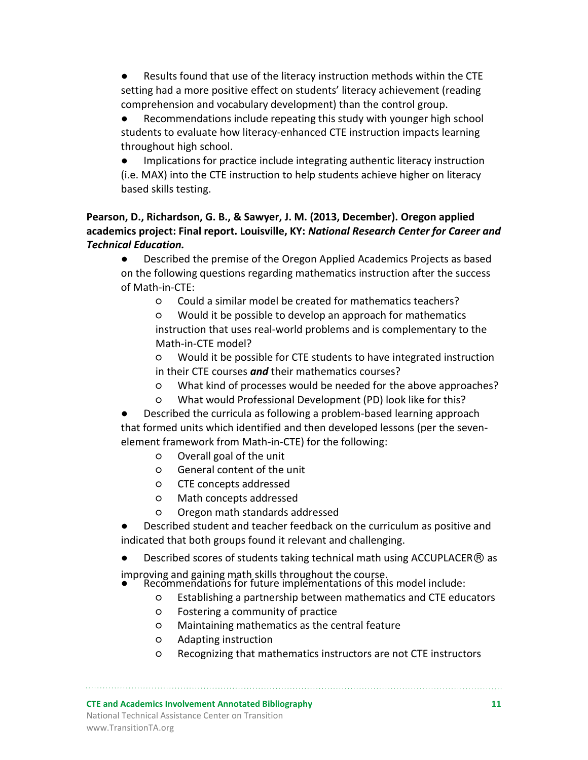Results found that use of the literacy instruction methods within the CTE setting had a more positive effect on students' literacy achievement (reading comprehension and vocabulary development) than the control group.

Recommendations include repeating this study with younger high school students to evaluate how literacy-enhanced CTE instruction impacts learning throughout high school.

● Implications for practice include integrating authentic literacy instruction (i.e. MAX) into the CTE instruction to help students achieve higher on literacy based skills testing.

# **Pearson, D., Richardson, G. B., & Sawyer, J. M. (2013, December). Oregon applied academics project: Final report. Louisville, KY:** *National Research Center for Career and Technical Education.*

● Described the premise of the Oregon Applied Academics Projects as based on the following questions regarding mathematics instruction after the success of Math-in-CTE:

○ Could a similar model be created for mathematics teachers?

○ Would it be possible to develop an approach for mathematics instruction that uses real-world problems and is complementary to the Math-in-CTE model?

○ Would it be possible for CTE students to have integrated instruction in their CTE courses *and* their mathematics courses?

- What kind of processes would be needed for the above approaches?
- What would Professional Development (PD) look like for this?

Described the curricula as following a problem-based learning approach that formed units which identified and then developed lessons (per the sevenelement framework from Math-in-CTE) for the following:

- Overall goal of the unit
- General content of the unit
- CTE concepts addressed
- Math concepts addressed
- Oregon math standards addressed

Described student and teacher feedback on the curriculum as positive and indicated that both groups found it relevant and challenging.

- Described scores of students taking technical math using ACCUPLACER $@$  as
- improving and gaining math skills throughout the course.
	- Recommendations for future implementations of this model include:
		- Establishing a partnership between mathematics and CTE educators
		- Fostering a community of practice
		- Maintaining mathematics as the central feature
		- Adapting instruction
		- Recognizing that mathematics instructors are not CTE instructors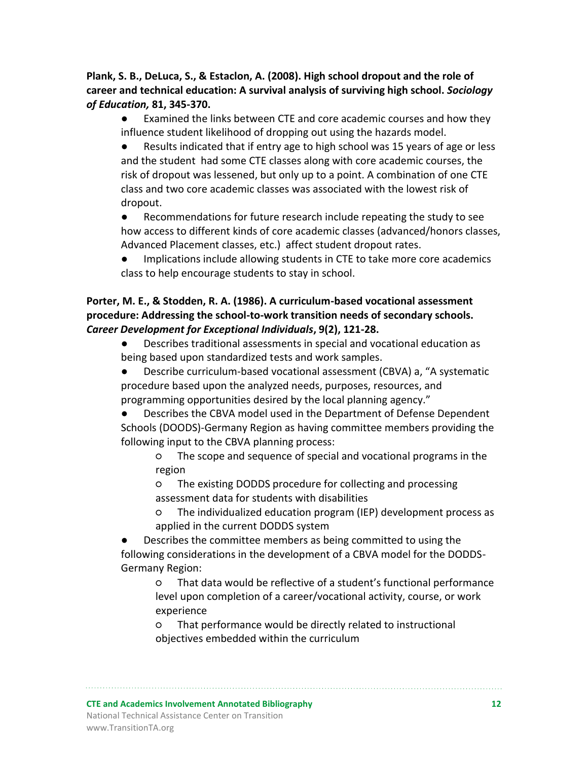#### **Plank, S. B., DeLuca, S., & Estaclon, A. (2008). High school dropout and the role of career and technical education: A survival analysis of surviving high school.** *Sociology of Education,* **81, 345-370.**

- Examined the links between CTE and core academic courses and how they influence student likelihood of dropping out using the hazards model.
- Results indicated that if entry age to high school was 15 years of age or less and the student had some CTE classes along with core academic courses, the risk of dropout was lessened, but only up to a point. A combination of one CTE class and two core academic classes was associated with the lowest risk of dropout.
- Recommendations for future research include repeating the study to see how access to different kinds of core academic classes (advanced/honors classes, Advanced Placement classes, etc.) affect student dropout rates.
- Implications include allowing students in CTE to take more core academics class to help encourage students to stay in school.

## **Porter, M. E., & Stodden, R. A. (1986). A curriculum-based vocational assessment procedure: Addressing the school-to-work transition needs of secondary schools.**  *Career Development for Exceptional Individuals***, 9(2), 121-28.**

- Describes traditional assessments in special and vocational education as being based upon standardized tests and work samples.
- Describe curriculum-based vocational assessment (CBVA) a, "A systematic procedure based upon the analyzed needs, purposes, resources, and programming opportunities desired by the local planning agency."
- Describes the CBVA model used in the Department of Defense Dependent Schools (DOODS)-Germany Region as having committee members providing the following input to the CBVA planning process:
	- The scope and sequence of special and vocational programs in the region
	- The existing DODDS procedure for collecting and processing assessment data for students with disabilities
	- The individualized education program (IEP) development process as applied in the current DODDS system
- Describes the committee members as being committed to using the following considerations in the development of a CBVA model for the DODDS-Germany Region:
	- That data would be reflective of a student's functional performance level upon completion of a career/vocational activity, course, or work experience
	- That performance would be directly related to instructional objectives embedded within the curriculum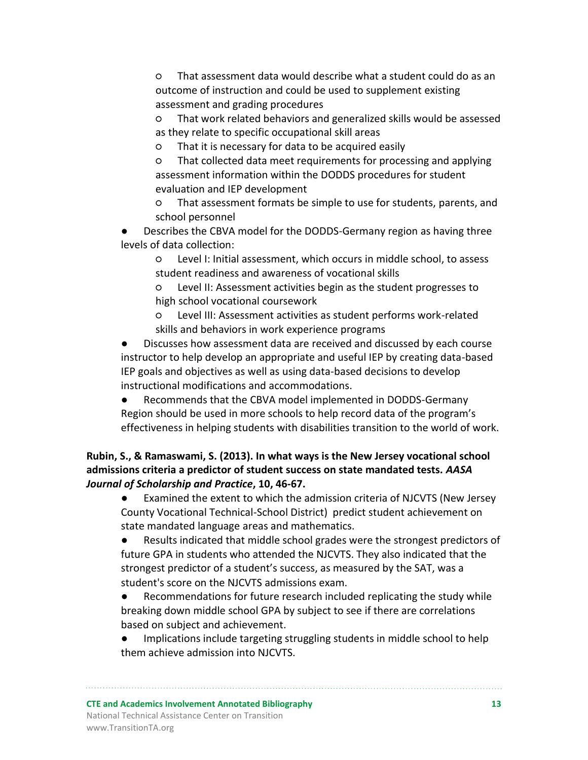○ That assessment data would describe what a student could do as an outcome of instruction and could be used to supplement existing assessment and grading procedures

○ That work related behaviors and generalized skills would be assessed as they relate to specific occupational skill areas

○ That it is necessary for data to be acquired easily

○ That collected data meet requirements for processing and applying assessment information within the DODDS procedures for student evaluation and IEP development

○ That assessment formats be simple to use for students, parents, and school personnel

Describes the CBVA model for the DODDS-Germany region as having three levels of data collection:

○ Level I: Initial assessment, which occurs in middle school, to assess student readiness and awareness of vocational skills

○ Level II: Assessment activities begin as the student progresses to high school vocational coursework

○ Level III: Assessment activities as student performs work-related skills and behaviors in work experience programs

Discusses how assessment data are received and discussed by each course instructor to help develop an appropriate and useful IEP by creating data-based IEP goals and objectives as well as using data-based decisions to develop instructional modifications and accommodations.

● Recommends that the CBVA model implemented in DODDS-Germany Region should be used in more schools to help record data of the program's effectiveness in helping students with disabilities transition to the world of work.

# **Rubin, S., & Ramaswami, S. (2013). In what ways is the New Jersey vocational school admissions criteria a predictor of student success on state mandated tests.** *AASA Journal of Scholarship and Practice***, 10, 46-67.**

● Examined the extent to which the admission criteria of NJCVTS (New Jersey County Vocational Technical-School District) predict student achievement on state mandated language areas and mathematics.

● Results indicated that middle school grades were the strongest predictors of future GPA in students who attended the NJCVTS. They also indicated that the strongest predictor of a student's success, as measured by the SAT, was a student's score on the NJCVTS admissions exam.

● Recommendations for future research included replicating the study while breaking down middle school GPA by subject to see if there are correlations based on subject and achievement.

Implications include targeting struggling students in middle school to help them achieve admission into NJCVTS.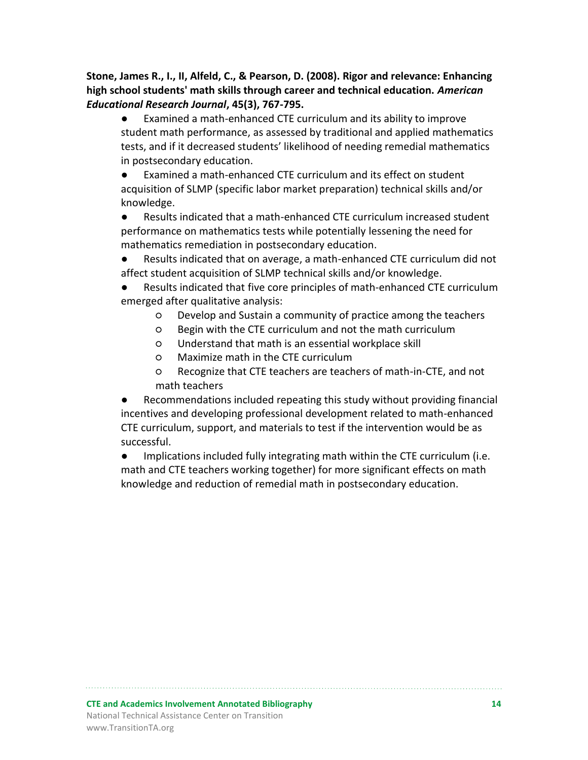**Stone, James R., I., II, Alfeld, C., & Pearson, D. (2008). Rigor and relevance: Enhancing high school students' math skills through career and technical education.** *American Educational Research Journal***, 45(3), 767-795.**

● Examined a math-enhanced CTE curriculum and its ability to improve student math performance, as assessed by traditional and applied mathematics tests, and if it decreased students' likelihood of needing remedial mathematics in postsecondary education.

Examined a math-enhanced CTE curriculum and its effect on student acquisition of SLMP (specific labor market preparation) technical skills and/or knowledge.

● Results indicated that a math-enhanced CTE curriculum increased student performance on mathematics tests while potentially lessening the need for mathematics remediation in postsecondary education.

● Results indicated that on average, a math-enhanced CTE curriculum did not affect student acquisition of SLMP technical skills and/or knowledge.

Results indicated that five core principles of math-enhanced CTE curriculum emerged after qualitative analysis:

- Develop and Sustain a community of practice among the teachers
- Begin with the CTE curriculum and not the math curriculum
- Understand that math is an essential workplace skill
- Maximize math in the CTE curriculum
- Recognize that CTE teachers are teachers of math-in-CTE, and not math teachers

Recommendations included repeating this study without providing financial incentives and developing professional development related to math-enhanced CTE curriculum, support, and materials to test if the intervention would be as successful.

● Implications included fully integrating math within the CTE curriculum (i.e. math and CTE teachers working together) for more significant effects on math knowledge and reduction of remedial math in postsecondary education.